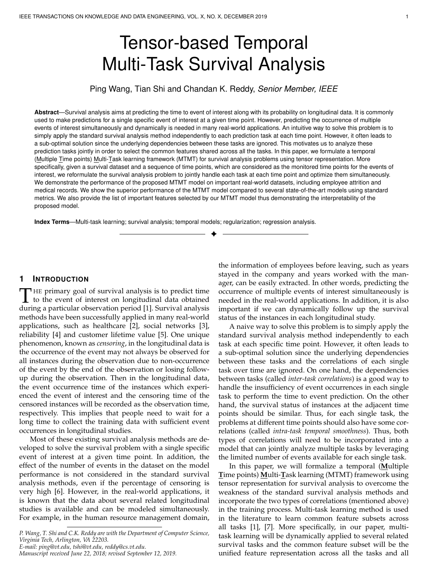# Tensor-based Temporal Multi-Task Survival Analysis

Ping Wang, Tian Shi and Chandan K. Reddy, *Senior Member, IEEE*

**Abstract**—Survival analysis aims at predicting the time to event of interest along with its probability on longitudinal data. It is commonly used to make predictions for a single specific event of interest at a given time point. However, predicting the occurrence of multiple events of interest simultaneously and dynamically is needed in many real-world applications. An intuitive way to solve this problem is to simply apply the standard survival analysis method independently to each prediction task at each time point. However, it often leads to a sub-optimal solution since the underlying dependencies between these tasks are ignored. This motivates us to analyze these prediction tasks jointly in order to select the common features shared across all the tasks. In this paper, we formulate a temporal (Multiple Time points) Multi-Task learning framework (MTMT) for survival analysis problems using tensor representation. More specifically, given a survival dataset and a sequence of time points, which are considered as the monitored time points for the events of interest, we reformulate the survival analysis problem to jointly handle each task at each time point and optimize them simultaneously. We demonstrate the performance of the proposed MTMT model on important real-world datasets, including employee attrition and medical records. We show the superior performance of the MTMT model compared to several state-of-the-art models using standard metrics. We also provide the list of important features selected by our MTMT model thus demonstrating the interpretability of the proposed model.

✦

**Index Terms**—Multi-task learning; survival analysis; temporal models; regularization; regression analysis.

# **1 INTRODUCTION**

THE primary goal of survival analysis is to predict time<br>to the event of interest on longitudinal data obtained<br>during a particular observation period [1]. Survival analysis HE primary goal of survival analysis is to predict time during a particular observation period [1]. Survival analysis methods have been successfully applied in many real-world applications, such as healthcare [2], social networks [3], reliability [4] and customer lifetime value [5]. One unique phenomenon, known as *censoring*, in the longitudinal data is the occurrence of the event may not always be observed for all instances during the observation due to non-occurrence of the event by the end of the observation or losing followup during the observation. Then in the longitudinal data, the event occurrence time of the instances which experienced the event of interest and the censoring time of the censored instances will be recorded as the observation time, respectively. This implies that people need to wait for a long time to collect the training data with sufficient event occurrences in longitudinal studies.

Most of these existing survival analysis methods are developed to solve the survival problem with a single specific event of interest at a given time point. In addition, the effect of the number of events in the dataset on the model performance is not considered in the standard survival analysis methods, even if the percentage of censoring is very high [6]. However, in the real-world applications, it is known that the data about several related longitudinal studies is available and can be modeled simultaneously. For example, in the human resource management domain,

*P. Wang, T. Shi and C.K. Reddy are with the Department of Computer Science, Virginia Tech, Arlington, VA 22203.*

*E-mail: ping@vt.edu, tshi@vt.edu, reddy@cs.vt.edu.*

the information of employees before leaving, such as years stayed in the company and years worked with the manager, can be easily extracted. In other words, predicting the occurrence of multiple events of interest simultaneously is needed in the real-world applications. In addition, it is also important if we can dynamically follow up the survival status of the instances in each longitudinal study.

A naive way to solve this problem is to simply apply the standard survival analysis method independently to each task at each specific time point. However, it often leads to a sub-optimal solution since the underlying dependencies between these tasks and the correlations of each single task over time are ignored. On one hand, the dependencies between tasks (called *inter-task correlations*) is a good way to handle the insufficiency of event occurrences in each single task to perform the time to event prediction. On the other hand, the survival status of instances at the adjacent time points should be similar. Thus, for each single task, the problems at different time points should also have some correlations (called *intra-task temporal smoothness*). Thus, both types of correlations will need to be incorporated into a model that can jointly analyze multiple tasks by leveraging the limited number of events available for each single task.

In this paper, we will formalize a temporal (**M**ultiple **T**ime points) **M**ulti-**T**ask learning (MTMT) framework using tensor representation for survival analysis to overcome the weakness of the standard survival analysis methods and incorporate the two types of correlations (mentioned above) in the training process. Multi-task learning method is used in the literature to learn common feature subsets across all tasks [1], [7]. More specifically, in our paper, multitask learning will be dynamically applied to several related survival tasks and the common feature subset will be the unified feature representation across all the tasks and all

*Manuscript received June 22, 2018; revised September 12, 2019.*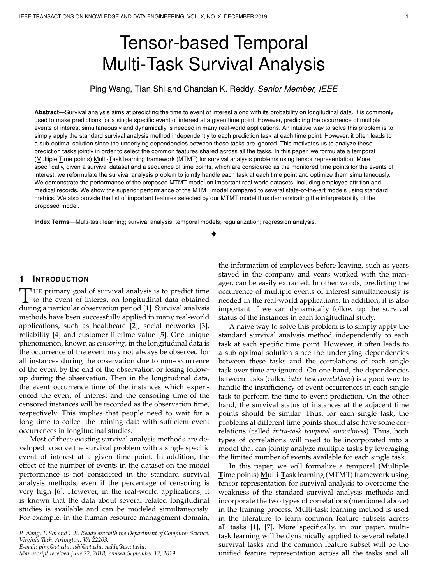IEEE TRANSACTIONS ON KNOWLEDGE AND DATA ENGINEERING, VOL. X, NO. X, DECEMBER 2019 2



Fig. 1: An illustration of various components in the proposed MTMT framework using Employee Attrition dataset.

time points. Since there are multiple tasks and multiple time points in our problem, a 3-way tensor will also be introduced in this paper for effective representation. Therefore, we extend the standard  $z_{2,1}$  norm which is usually used on a matrix to the  $\epsilon_{F,1}$  norm (which is appropriate for the tensor representation) to incorporate the inter-task correlations in the proposed MTMT model. Another contribution of the MTMT algorithm is that it performs the multi-task learning dynamically. In this case, the survival status of the instances about multiple events of interest can be monitored over time and then the survival function for the problem in each task can also be obtained. If the standard multi-task learning formulation is used, it will not be able to handle the censored data in survival problems. For solving the survival analysis problems, we will formulate a multi-way indicator tensor which can incorporate the censored instances depending on their survival status over time for each task. In this case, at each time point, one given instance will be involved in the training process as long as it is not censored in at least one task. Figure 1 illustrates the main components of the proposed MTMT method on the Employee Attrition dataset in more detail.

In MTMT, we incorporate both the censoring constraint and two types of correlations by applying regularizations in the loss function of multi-task learning formulation and the Alternating Direction Methods of Multipliers (ADMM) algorithm [8]. In addition, the proximal gradient decent algorithm [9] with backtracking linear search is extended to optimize the  $F_{f,1}$  regularized problems. The proposed MTMT method will be evaluated on both the employee attrition dataset provided by IBM Watson Analytics and the Medical Information Mart for Intensive Care III (MIMIC III) dataset [10], [11] and compared with the state-of-the-art survival analysis and multi-task learning methods.

The main contributions of this work are summarized as follows:

Propose a multiple time points multi-task learning (MTMT) model for survival analysis which has the ability to analyze several survival problems jointly and dynamically predict the survival probability at each time point.

Develop an ADMM based algorithm to optimize the proposed MTMT problem.

Evaluate the performance of the proposed temporal multitask learning method using multiple real-world datasets and compare with several state-of-the-art methods.

The rest of this paper is organized as follows: In Section 2, the background and related work about survival analysis and multi-task learning is briefly reviewed. Section 3 introduces the details about the proposed temporal multi-task learning algorithm along with the optimization method used to solve the model. The prediction performance of the proposed MTMT algorithm is evaluated using the real-world datasets in Section 4. Finally, Section 5 concludes the discussion of our work.

# **2 RELATED WORK**

In this section, we discuss the related works on survival analysis, multi-task learning and temporal modeling. We will also distinguish our contribution in this paper from other existing algorithms in the literature.

## **2.1 Survival Analysis**

Survival analysis is a branch of statistics which aims to handle censored data and then predict the time to the event of interest [12]. Typically, survival analysis methods can be grouped into three categories: non-parametric methods, Cox-based methods and parametric methods.

Kaplan-Meier (KM) method [13] is the most commonly used non-parametric survival analysis method due to its reasonable ability to estimate the survival function, which is one of the most important functions in survival problems. Generally, the KM method estimates the survival probability at a given time point during the observation period as the product of the survival rate at this time point and the same estimate at the previous time.

The Cox proportional hazards model [14] is well studied in both statistics and data mining fields due to its flexibility in choosing the baseline hazard function and its ability to provide a more consistent estimation. Cox model is built on a proportional hazard assumption and it estimates the parameters using the partial likelihood function. In order to adapt Cox model to the survival problem with highdimensional features, the regularized Cox models [15], [16], [17] are proposed to perform the feature selection and identify the most significant features to the outcome variable.

Different from the non-parametric and Cox-based methods, parametric methods assume that the survival time (or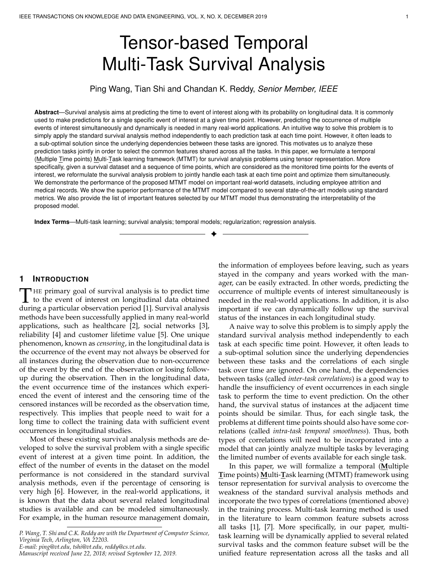its logarithm) of all instances follow a certain theoretical distribution [18]. The commonly used distributions include exponential, weibull, logistic, log-logistic and log-normal distribution. The accelerated failure time (AFT) model [19] is one of the widely used parametric methods since it assumes that the logarithm of the survival times follows one theoretical distribution. In addition, several linear models, including the Buckley-James (BJ) [20] and Tobit regression [21] are proposed based on the standard linear regression to handle the survival analysis problems.

In order to further tackle the non-linear relationships between covariates and survival time, other researchers have proposed deep survival analysis methods [22], [23], [24], [25]. DeepSurv is proposed as a treatment recommender system that combines the power of both Cox proportional hazards model and deep neural networks and modelling the interactions between covariates and the effect of treatment [22]. The hierarchical generative deep survival analysis approach in [23] is proposed to handle the sparsity and heterogeneity in EHR data using a sequence of multilayer probability models. It is worth to note that all the survival analysis methods mentioned above are suitable for the problems with only one event of interest or at a single time point. Moreover, the number of event occurrences will affect the performance of the standard survival analysis methods, especially when the number of events is insufficient at the early stage of the observation period. An alternative way to compensate for this insufficiency is to make effective use of the event information that is available in other survival problems about a related event of interest. The goal of this paper is to solve the survival analysis problem with multiple events of interest jointly and improve the prediction performance of each single problem. For the survival problem with more than one event of interest, an intuitive way is to simply apply the standard survival algorithm independently on each of the events of interest. However, the correlations between these multiple tasks will be ignored. In this paper, we dynamically consider the survival problem with multiple correlated events of interest by using the multi-task learning method.

#### **2.2 Multi-task Learning**

Multi-task learning (MTL) method aims at improving the prediction performance of each task by analyzing multiple tasks jointly and learning shared features across all tasks. Compared to the methods which learn each task independently, it has been shown both theoretically [26], [27] and empirically [1], [7], [28], [29] that multi-task learning simultaneously improves the performance of each task. Multitask learning has been widely used in many real-world applications, including biomedical informatics [1], [7] and computer vision [28], [29]. However, there is not much work on multi-task learning in the field of survival analysis. The authors in [1] developed a linear regression based multi-task learning formulation (MTLSA) to predict the survival status at each time point. In their method, the survival problem at each time point is considered as one single task and the  $i_{2;1}$ norm penalty is applied in order to learn a shared feature subset across different tasks. However, only one event of interest is considered in MTLSA and each of the multiple tasks is formulated at each time point, which cannot solve

the problems with multiple events of interest as described in our paper. In addition, deep multi-task Gaussian processes are applied in a non-parametric Bayesian model to solve survival problems with competing risks [24]. A neural multi-task logistic regression model is proposed in [25] to offset the linearity problem in traditional survival models. These multi-task learning based methods are able to analyze different survival analysis problems jointly, however, they do not consider the correlations between the problems at different time points.

In our work, we develop a new multi-task learning method to jointly analyze several related survival analysis problems and dynamically perform such multi-task learning to monitor the survival status of instances in each individual task. In other words, our proposed method provides the ability to generate the survival function for each event of interest by predicting the survival probability for each instance over time. To optimize the proposed MTMT method, several types of constraints, including censoring, inter-task correlations and intra-task temporal smoothness, are considered in the objective function to incorporate the unique properties of our survival problem. To the best of our knowledge, this paper is the first work about dynamically applying the multi-task learning in the field of survival analysis and also the first work to solve the survival analysis problem using tensor representation.

## **3 PROPOSED MODEL**

In this section, we will first describe the problem formulation in the form of a joint multi-task learning and survival analysis framework by considering multi-task problems dynamically. Then, an ADMM based optimization algorithm will be proposed to solve the joint optimization problem. The convergence and complexity analysis of the proposed algorithm will also be discussed at the end of this section.

#### **3.1 The MTMT Framework**

Survival analysis methods are well known for their ability to handle the censored instances in the data in order to predict the time to event of interest. Generally, the standard survival analysis algorithm is proposed to estimate the time to a single event of interest. More specifically, it solves the single task (single event of interest) problem (eg. task  $k$ ), in which the instance  $i$  in survival data is recorded by a triplet  $(X_i^k; T_i^k; Y_i^k)$  [1], where  $X_i^k$  2 R<sup>1  $|P|$ </sup> is a vector which represents the feature vector;  $Y_i^k$  is a binary variable which indicates the event status, i.e.,  $Y_i^k = 1$  if an event is observed on instance *i* and the corresponding time  $(O_i^k)$  for the event is recorded as  $T_j^k$ , and  $Y_j^k = 0$  if instance *i* is censored during the observation time period and then its censored time  $(C_i^k)$  will be recorded as  $T_i^k$  [1]. In other words, for each instance in survival data, only the survival time or the censored time can be observed during the observation time period, i.e.,

$$
T_i^k = \begin{cases} O_i^k & \text{if } Y_i^k = 1 \\ C_i^k & \text{if } Y_i^k = 0 \end{cases}
$$
 (1)

It should be noted that the event time  $O_i^k$  for the censored instance is a latent value since there is no information about the event status after the censored time  $C_i^k$ . One of the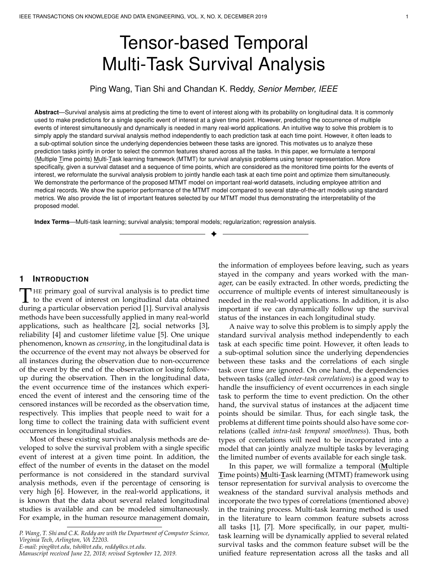main goals of survival analysis is to measure the survival probability at each time point and estimate the time to the event of interest for each instance.

However, there are certain disadvantages for the standard survival analysis methods. A sufficient number of event occurrences in the training data must be collected by waiting for a long period of time, otherwise having a fewer event occurrences may affect the prediction performance of the survival analysis algorithm, especially in the early stage of the observation [30]. It will be challenging but beneficial for the prediction of each single problem if we can make the best use of the event information in multiple correlated regular survival analysis problems and analyze these individual survival analysis problems in a joint manner. More specifically, the event information in other correlated tasks can be used to compensate for the insufficiency of the event occurrence in a single task and improve the prediction performance. On the other hand, due to the new occurrence of censoring or events on some instances, the values of the event label for these instances will be updated at the corresponding event time or censored time. It will be vital to monitor the survival status of each instance dynamically, which cannot be solved by the existing survival analysis algorithms. These disadvantages motivate the need for developing an algorithm which can analyze multi-task survival analysis problems dynamically.

In this paper, the temporal multi-task learning framework is proposed to estimate the survival probabilities of the instances in  $K$  tasks over  $J$  time points. Specifically, each event of interest is considered as a single task, and we simultaneously analyze all the tasks by considering both the inter-task correlations and the intra-task time smoothness. Figure 1 shows various components used in the proposed MTMT framework. In the input data, the data record for instance  $i$  ( $i = 1$ ;  $N_k$ ) in task  $k$  ( $k = 1$ ;  $\forall$  K) at each time point  $t_j$   $(j = 1; j \neq j)$  can be obtained as a triplet  $\left(\mathbf{X}_{i:k},\mathbf{T}_{ijk},\mathbf{Y}_{ijk}\right)$  using the following three procedures:

- 1)  $X_{i:k}$  2 R<sup>1</sup> <sup>P</sup> represents the feature vector for instance *i* in task k. Due to the difficulty and limitation to collect the feature values over time, the static feature values are commonly used in the survival analysis literature.
- 2)  $Y_{ijk}$  is the binary variable indicating the survival status of instance *i* at time point  $t_i$  in task  $k$ . It is obtained as follows:

$$
\mathbf{Y}_{ijk} = \begin{cases} 0 & \text{if } Y_i^k = 1 \text{ and } t_j \quad O_i^k \\ 1 & \text{Otherwise} \end{cases}
$$
 (2)

where  $Y_{ijk} = 1$  indicates that there is no event observed for instance *i* at  $t_j$  in task *k* and  $Y_{ijk} = 0$  indicates that instance *i* did not survive after  $t_i$  in task  $k$ . Eq. (2) indicates that, for an instance having an event during the observation time in task  $k$ , it will survive until the event time  $O_i^k$ , which is the event time of this instance in the task. After the event time  $O_i^k$ , it will be labeled as 0 in the data collected at each time point which is the unique property of the non-recurrent event survival analysis problem. The instances without an event occurrence during the observation time will be labeled as 1 over all time points. It should be noted that these instances have definitely survived at each time point until the censored

time, however, the survival status after the censoring time is unknown even if we label it as 1. These unknown records will be carefully handled by an indicator formulation (to be introduced in Subsection 3:2:1).

3)  $\mathbf{T}_{ijk}$  is obtained according to the value of  $Y_i$  as follows:

$$
\sum_{k=0}^{K} O_i^k \quad \text{if } \mathbf{Y}_{ijk} = 0
$$
  
\n
$$
\mathbf{T}_{ijk} = \min\left(t_j; C_i^k\right) \quad \text{if } \mathbf{Y}_{ijk} = 1 \text{ and } Y_i^k = 0 \quad (3)
$$
  
\n
$$
\min\left(t_j; O_i^k\right) \quad \text{if } \mathbf{Y}_{ijk} = 1 \text{ and } Y_i^k = 1
$$

It should be noted that each instance is not required to be observed for all tasks. If instance  $i$  is not observed in task *k*, then all values in the triplet  $(X_{i:k}, T_{ijk}, Y_{ijk})$  at each time point  $t_i$  will be set to 0. This representation leads to equal number of instances in each of the tasks. Based on the data transformation procedures, the entire data for task  $k$  at all the time points can be represented as (**X**::k; **T**::k; **Y**::k), where  $\mathbf{X}_{::k}$  2 R<sup>N<sub>k</sub> P</sup>,  $\mathbf{T}_{::k}$  2 R<sup>N<sub>k</sub> J</sup> and  $\mathbf{Y}_{::k}$  2 R<sup>N<sub>k</sub> J</sup> represent matrices of the features, survival status and event time, respectively. Following the three procedures, the survival problem in each task can be transformed into a sequence of similar problems ordered by time. Our goal is to analyze the  $J$  K problems jointly in order to completely utilize the event information available in each task, the intertask correlations and the intra-task temporal smoothness. It can be observed that this proposed temporal (multi-time points) multi-task problem (MTMT) can be considered as a generalized framework for solving the survival analysis problems. Other existing problems in the literature can be considered as the special cases of MTMT as described below:

- 1) The standard survival analysis problem is a special case of MTMT with single task at single time point (STST), in which  $J = 1$  and  $K = 1$ .
- 2) The MTLSA method proposed in [1] can be considered as a special case of MTMT with single task at multi-time points (MTST), in which  $K = 1$ .
- 3) Besides STST and MTST problems, MTMT can also incorporate the method in [31] as a multiple tasks at a single time point (STMT), in which  $J = 1$ .

All the three problems can be derived from our generalized MTMT framework. Therefore, it is important to find a way to solve the MTMT algorithm efficiently. A commonly used approach to solve the formulated temporal multi-task learning problems is to optimize  $J$  K linear regression problems as follows:

$$
\min_{\mathbf{B}} \frac{\mathcal{X} \times \mathcal{X}}{j=1} \frac{1}{2} j \mathbf{Y}_{:j,k} \quad \mathbf{X}_{::k} \mathbf{B}_{:j,k} j_2^2 + R(\mathbf{B}) \tag{4}
$$

where  $\mathbf{X}_{::k}$  2 R<sup>N<sub>k</sub> P</sup> is the feature matrix of the  $k^{th}$  task, and  $\mathbf{Y}_{:jk}$  2 R<sup>N<sub>k</sub> 1</sup> and  $\mathbf{B}_{:jk}$  2 R<sup>P</sup><sup>1</sup> represent the response vector and the estimated coefficient vector in the  $k<sup>th</sup>$  task at time point  $t_i$ , respectively. It should be noted that the estimated coefficients across all the tasks and all the time points can also be represented as a 3-way tensor **B**  $2 \mathbb{R}^{P}$  J K since we assume that the features in different tasks are homogeneous in this work. The term  $R(\bf{B})$  in Eq. (4) denotes the regularization which is used to avoid the over-fitting of the model and to incorporate other constraints for the parameters.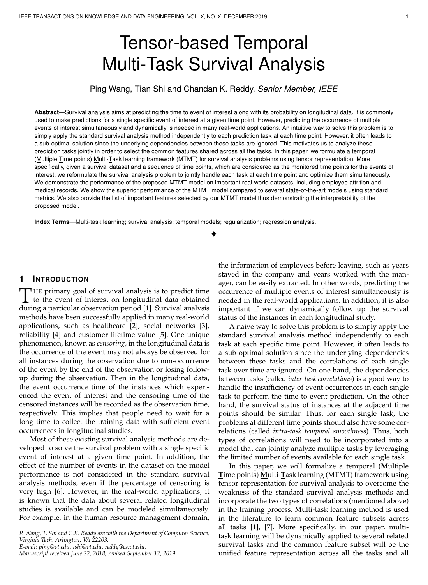#### **3.2 Constraints and Regularization Function**

There are mainly two challenges in the proposed MTMT algorithm. (i) As defined in Eq. (2), we only know that the censored instances survive until the censoring time, while the survival status after the censoring time is not available. Either treating them as survival or non-survival may introduce some bias into the model. (ii) *The goal of the MTMT algorithm is to incorporate the inter-task correlations and intratask temporal smoothness into the algorithm in order to estimate the survival probabilities over time* and increase the prediction performance of each single task. It is critically important to find a reasonable way to incorporate both properties into the algorithm. In this subsection, we will discuss and determine suitable regularization terms to incorporate these characteristics into the proposed model.

#### *3.2.1 Censoring*

Censoring is one of the main characteristics of survival data, i.e., the components for the censored instances in the survival status vector  $Y_{ijk}$  for task k at time point  $t_j$  is latent since we do not know the exact time until which the instances survive beyond the censoring time [2]. The censoring problem in the temporal multi-task learning algorithm is more complex due to the dynamically changing behavior of the survival status in each task. More specifically, the censoring time or event time, for one instance, in different tasks may be different, which also leads to the difference in survival status at different time points in different tasks. Thus it is important to handle this censored information in order to jointly utilize the data in each task and improve the prediction in each single task. We formulate a 3-way indicator tensor to handle these censored instances in the training process.

For the task  $k$  at time point  $t_j$ , each component indicator  $S_{ijk}$  defined in Eq. (5) is used to indicate the extent of contribution of the survival information about instance  *in* the model.

$$
\mathbf{S}_{ijk} = \begin{cases} 0 & \text{if } \mathbf{Y}_{ijk} = 1 \text{ and } t_j > C_i^k \\ 1 & \text{Otherwise} \end{cases} \tag{5}
$$

Then the objective function in Eq. (4) can be updated to handle the censoring information as:

$$
\min_{\mathbf{B}} \frac{\times \times 1}{j=1 \ k=1} \frac{1}{2} j/\mathbf{S}_{:j,k} \quad (\mathbf{Y}_{:j,k} \quad \mathbf{X}_{:k} \mathbf{B}_{:j,k}) j/2^2 + R(\mathbf{B}) \quad (6)
$$

where the symbol which represents the component-wise multiplication of two vectors is defined as  $a \quad b = \int a_i b_i$ . By applying the indicator tensor **S**, one instance will contribute to the training process only if it is not censored in at least one of the tasks, no matter if it is survived or not in these tasks.

#### *3.2.2 Overfitting*

In order to avoid the overfitting of the problem, a  $\epsilon$ regularization [32] on the coefficient tensor **B** defined in Eq. (7) will be used.

$$
jjB/j2F = \sum_{k=1}^{K} j/\bmb{B}_{::k}/j2F
$$
 (7)

#### *3.2.3 Inter-task correlations*

One of the goals of multi-task learning is to compensate for the insufficiency of the event occurrences in each task and to learn shared features among all the tasks by jointly learning the models. In other words, multi-task learning aims at identifying the most important and common features that contribute to the survival of the instances across all the tasks. The  $z_{2:1}$  norm on a matrix is commonly used to learn the shared features since it tends to result in similar sparsity patterns for the parameters in all tasks [1]. Here, we extend the  $z_{2;1}$  norm on the matrix to the  $r_{F;1}$  norm, defined in Eq. (8), on the tensor **B**, which will lead to shared features across all tasks at all time points.

$$
jj\mathbf{B}jj_{F,1} = \frac{\mathcal{X} \quad \mathbf{Q}}{jj\mathbf{B}_{p:\cdot}jj_F^2}
$$
(8)

where  $j/\mathbf{B}_{p}$ : $j/\frac{p}{F} = \left[\begin{array}{cc} K & 0 \ K & 0 \ K-1 & j=1 \end{array}\right]$   $\mathbf{B}_{pjk}^2$ .

## *3.2.4 Intra-task temporal smoothness*

One of the main objectives of the MTMT algorithm is to dynamically perform the multi-task learning since the survival status of each instance in each task keeps changing over time. By dynamically learning the multi-task problem, we can monitor the survival status for each instance over time, incorporate the updated survival status in the training process and track the most significant features across all the tasks. According to the definition of the indicator tensor **S** in Eq. (5), there exits a high temporal dependency between the problems at different time points. In this paper, an intra-task temporal smoothness regularization term defined in Eq. (9) is introduced to reduce the parameter deviations estimated at adjacent time points [7].

jj**B**jjts = XK k=1 JX1 j=1 k**B**:(j+1)<sup>k</sup> **B**:jkk 2 2 (9)

It should be noted that similar to fused lasso [33], Eq. (7) and Eq. (9) are designed to prevent overfitting and encourage intra-task temporal smoothness, respectively. However, fused lasso introduces sparsity to parameters and differences of parameters for adjacent time points, which is not required in our problem. Therefore, we only consider regularizers with Euclidean norm to decay weights (i.e., model parameters) and parameter differences, instead of introducing sparsity.

After incorporating all the constraints into Eq. (4), we can solve the proposed temporal multi-task learning framework by minimizing the following objective function:

$$
\min_{\mathbf{B}} \frac{\mathsf{X} \times \mathsf{Y}}{k=1} \frac{1}{2} k \mathbf{S}_{:j,k} \quad (\mathbf{Y}_{:j,k} \quad \mathbf{X}_{:k} \mathbf{B}_{:j,k}) k_2^2 + \frac{1}{2} k \mathbf{B} k_F^2 + j \mathbf{B} j j_{F;1} + \frac{1}{2} j \mathbf{B} j j_{\text{ts}} \tag{10}
$$

where , and are the positive parameters controlling the importance of the overfitting term, inter-task correlation terms and intra-task time smoothness term, respectively.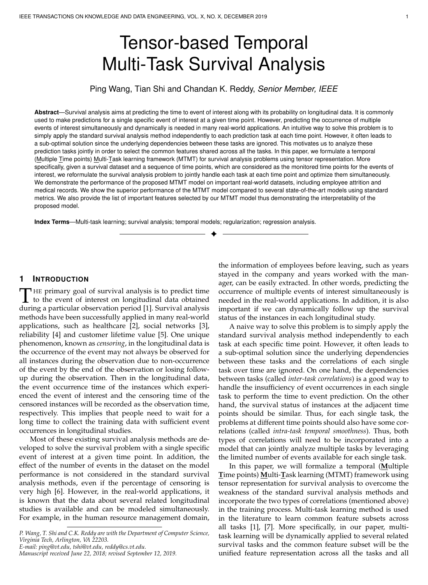#### **3.3 Optimization**

The optimization problem in Eq. (10) incorporates four unique constraints into our problem. In this section, we apply the alternating direction method of multipliers (ADMM) method [8] and the proximal methods to optimize it since the solution to this problem is not trivial. First, we introduce a sequence of new constraints  $M_{:jk} = X_{:ik}B_{:jk}$  for  $(k = 1;$   $; K; j = 1;$   $; J)$  and update the problem in Eq. (10) as follows:

$$
\begin{aligned}\n&\times \times \quad \frac{1}{2} k \mathbf{S}_{:jk} \quad (\mathbf{Y}_{:jk} \quad \mathbf{M}_{:jk}) k_2^2 \\
&\mapsto \quad \frac{1}{2} k \mathbf{B} k_F^2 + j j \mathbf{B} j j_{F;1} + \frac{1}{2} j j \mathbf{B} j j_{ts} \\
&\text{s.t. } \mathbf{M}_{:jk} = \mathbf{X}_{:k} \mathbf{B}_{:jk} k_i \quad (k = 1; \quad ; K; j = 1; \quad ; J)\n\end{aligned}
$$
\n(11)

By combining the linear and quadratic terms in the augmented Lagrangian and scaling the dual variable, the objective function can be written as:

$$
\begin{array}{ll}\n\mathbf{M} & \mathbf{X} & \mathbf{X} \\
\mathbf{m} & \mathbf{B} & \mathbf{B} \\
\mathbf{B} & k=1 \, j=1 \\
& \mathbf{X} & \mathbf{X} \\
& + & \mathbf{B} \\
& k=1 \, j=1\n\end{array}\n\quad\n\begin{array}{ll}\n\mathbf{M} & \mathbf{M} \\
\mathbf{M} & \mathbf{M} \\
\mathbf{M} & \mathbf{M} \\
\mathbf{M} & \mathbf{M} \\
\mathbf{M} & \mathbf{M} \\
\mathbf{M} & \mathbf{M} \\
\mathbf{M} & \mathbf{M} \\
\mathbf{M} & \mathbf{M} \\
\mathbf{M} & \mathbf{M} \\
\mathbf{M} & \mathbf{M} \\
\mathbf{M} & \mathbf{M} \\
\mathbf{M} & \mathbf{M} \\
\mathbf{M} & \mathbf{M} \\
\mathbf{M} & \mathbf{M} \\
\mathbf{M} & \mathbf{M} \\
\mathbf{M} & \mathbf{M} \\
\mathbf{M} & \mathbf{M} \\
\mathbf{M} & \mathbf{M} \\
\mathbf{M} & \mathbf{M} \\
\mathbf{M} & \mathbf{M} \\
\mathbf{M} & \mathbf{M} \\
\mathbf{M} & \mathbf{M} \\
\mathbf{M} & \mathbf{M} \\
\mathbf{M} & \mathbf{M} \\
\mathbf{M} & \mathbf{M} \\
\mathbf{M} & \mathbf{M} \\
\mathbf{M} & \mathbf{M} \\
\mathbf{M} & \mathbf{M} \\
\mathbf{M} & \mathbf{M} \\
\mathbf{M} & \mathbf{M} \\
\mathbf{M} & \mathbf{M} \\
\mathbf{M} & \mathbf{M} \\
\mathbf{M} & \mathbf{M} \\
\mathbf{M} & \mathbf{M} \\
\mathbf{M} & \mathbf{M} \\
\mathbf{M} & \mathbf{M} \\
\mathbf{M} & \mathbf{M} \\
\mathbf{M} & \mathbf{M} \\
\mathbf{M} & \mathbf{M} \\
\mathbf{M} & \mathbf{M} \\
\mathbf{M} & \mathbf{M} \\
\mathbf{M} & \mathbf{M} \\
\mathbf{M} & \mathbf{M} \\
\mathbf{M} & \mathbf{M} \\
\mathbf{M} & \mathbf{M} \\
\mathbf{M} & \mathbf{M
$$

where **u** is the scaled variable tensor and  $\geq 0$  is the penalty parameter. Then we can have the scaled form of ADMM as follows:

$$
\mathbf{M}^{n+1} := \underset{\mathbf{M}}{\text{arg min}} \sum_{k=1}^{K} \frac{1}{2} k \mathbf{S}_{jk} \quad (\mathbf{Y}_{:jk} \quad \mathbf{M}_{:jk}) k_2^2
$$
\n
$$
+ \frac{1}{2} k \mathbf{M}_{:jk} \quad \mathbf{X}_{::k} \mathbf{B}_{:jk}^n + \mathbf{u}_{:jk}^n k_2^2
$$
\n
$$
\mathbf{B}^{n+1} := \underset{\mathbf{B}}{\text{arg min}} \sum_{k=1}^{K} \frac{1}{2} k \mathbf{M}_{:jk}^{n+1} \quad \mathbf{X}_{::k} \mathbf{B}_{:jk} + \mathbf{u}_{:jk}^n k_2^2
$$
\n
$$
+ \frac{1}{2} k \mathbf{B}_{:jk} k_2^2 + \frac{1}{2} (1 \quad (j = J)) j \mathbf{B}_{:j+1} k \quad \mathbf{B}_{:jk} j_2^2
$$
\n
$$
+ j \mathbf{B}_{:j} j_{F;1}
$$
\n(13)

$$
\mathbf{u}_{::k}^{n+1} := \mathbf{u}_{::k}^{n} + \mathbf{M}_{::k}^{n+1} \qquad \mathbf{X}_{::k} \mathbf{B}_{::k}^{n+1}
$$
 (14)

Thus, next we need to optimize the two problems given in Eq. (13) and Eq. (14) in order to solve the problem in Eq. (11). Here, the symbol  $n$  in the superscript represent the number of iterations.

**Step 1: Update**  $M^{n+1}$  **given**  $B^n$  **and**  $u^n$  **(solve Eq. (13)).** 

The first order and second order derivative of the problem in Eq. (13) with respect to  $M_{ijk}$  calculated in Eq. (16) and Eq. (17) indicates that the objective function in Eq. (13) is strictly convex.

$$
\frac{\mathscr{L}L}{\mathscr{C}M_{ijk}} = \mathbf{S}_{ijk}(\mathbf{Y}_{ijk} \mathbf{M}_{ijk}) + (\mathbf{M}_{ijk} \mathbf{X}_{i:k} \mathbf{B}_{ijk}^n + \mathbf{u}_{ijk}^n)
$$
\n(16)

$$
\frac{\mathscr{Q}^2 L}{(\mathscr{Q} \mathbf{M}_{ij,k})^2} = \mathbf{S}_{ij,k} + \quad > 0 \tag{17}
$$

**Algorithm 1:** FISTA for  $F_{f,1}$  Constrained Optimization.

Input: Predictor tensor (X);  
\nProximal survival status tensor (M);  
\nScaled variable tensor (u);  
\nOutput: Regression coefficient tensor (B)  
\n1 Initialize: 
$$
B^0
$$
 random real numbers,  $B^{-1} = B^0$ ;  
\n2  $m = 1$ ,  $0 = 1$ ,  $1 = 0$ ,  $0 = 1$ ;  
\n3 repeat  
\n4  $A^m = B^{m-1} + \frac{m-2}{m-1}(B^{m-1} - B^{m-2})$ ;  
\nrepeat  
\n6 Calculate  $B^m = \sum (A^m - \frac{1}{m}g'(A^m))$ ;  
\n7 Calculate  $B^m = B^m$   $A^m$ ;  
\nCalculate  $h(A^m; B^m) =$   
\n $g(A^m) + k_{xj} = \frac{eg(B)}{eB_{j,k}}$   $B_{j,k}^m + \frac{m}{2}jj$   $B^mjj_{F}^2$ ;  
\n9 if  $g(B^m)$   $h(A^m; B^m)$  then  
\n10  $\Big\}$  break ;  
\n11  $\Big\}$  until Conpergence;  
\n14  $\Big\}$   $m = \frac{1 + \frac{1 + 4 - 2}{1 + 4 - 2}}{1 + 4 - 2}$ ;  
\n15  $m = m + 1$ ;  
\n16 until Convergence;  
\n17  $B = B^m$ .

Thus,  $M_{::k}$  can be updated by Eq. (18) in each iteration for each task k.

$$
\mathbf{M}^{n+1}_{::k} = \frac{\mathbf{S}_{::k} - \mathbf{Y}_{::k} + (\mathbf{X}_{::k}\mathbf{B}_{::k}^{n} - \mathbf{u}_{::k}^{n})}{\mathbf{S}_{::k} +}
$$
(18)

**Step 2: Update B<sup>n+1</sup> given M<sup>n+1</sup> and u<sup>n</sup> (solve Eq. (14)).** 

The objective function in Eq. (14) can be separated into two terms, a smooth term and a non-smooth term, as shown in Eq. (19).

$$
L(\mathbf{B}) = g(\mathbf{B}) + k\mathbf{B}k_{F,1}
$$
 (19)

where  $g(\mathbf{B})$  is a smooth convex function defined as:

$$
g(\mathbf{B}) := \sum_{k=1}^{K} \sum_{j=1}^{K} k \mathbf{M}_{:jk} \mathbf{X}_{::k} \mathbf{B}_{:jk} + \mathbf{u}_{:jk} k_2^2 + \frac{1}{2} k \mathbf{B}_{:jk} k_2^2 + \frac{1}{2} (1 \t(j = J)) j \mathbf{B}_{:(j+1)k} \mathbf{B}_{:jk} j_2^2
$$
\n(20)

and the first order derivative of  $q(\mathbf{B})$  can be obtained as:

$$
\frac{\mathscr{G}(\mathbf{B})}{\mathscr{G}\mathbf{B}_{.jk}} := \mathbf{X}_{::k}^T (\mathbf{M}_{.jk} \mathbf{X}_{::k} \mathbf{B}_{.jk} + \mathbf{u}_{.jk}) \n+ \mathbf{B}_{.jk} + (1 \t(j = J)) (\mathbf{B}_{.jk} \mathbf{B}_{.(j+1)k})
$$
\n
$$
+ (1 \t(j = 1)) (\mathbf{B}_{.jk} \mathbf{B}_{.(j-1)k})
$$
\n(21)

Then, the optimization problem for Eq. (14) is equivalent to the following  $F_{f,1}$ -ball constrained smooth convex optimization problem.

$$
\min_{\mathbf{B}\,2Z} \quad g(\mathbf{B})\tag{22}
$$

where  $Z = f\mathbf{B} \supseteq R^P \supseteq K$  *jz*  $k\mathbf{B}k_{F,1}g$  and  $z \supseteq Z_+$  is the radius of the  $\epsilon_{F,1}$ -ball. The minimization problem in Eq. (22)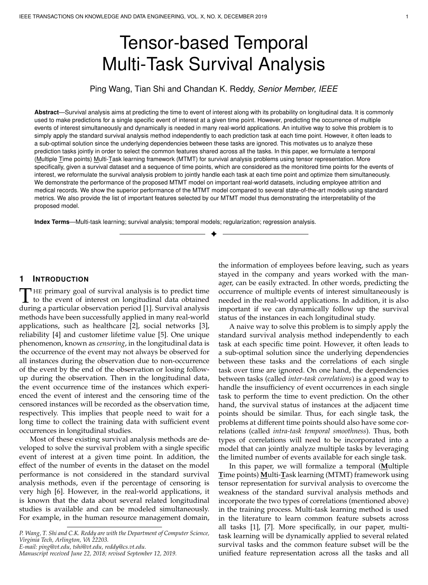can be solved by a proximal gradient decent algorithm with backtracking linear search [9], which is based on the fast iterative shrinkage-thresholding algorithm (FISTA) framework provided in Algorithm 1. Within the iteration  $m$ , we set the initial searching point as  $A^m = B^{m-1} + m(B^{m-1} - B^{m-2}),$ where  $\overline{m}$  is an non-negative parameter. Then, the approximated solution **B**<sup>*m*</sup> can be obtained as:

$$
\mathbf{B}^m = z(f(\mathbf{A}^m)) \tag{23}
$$

where  $f(\mathbf{A}^m) = \mathbf{A}^m \quad \frac{1}{2}$  $g^{\scriptscriptstyle\mathit{0}}(\mathbf{A}^{\scriptscriptstyle\mathit{m}})$  with parameter , and  $g^{\theta}$  denotes the derivative (See line 6 of Algorithm 1). The Euclidean projection operator [34]  $Z$  is defined as:

$$
Z(f(\mathbf{A})) = \underset{\mathbf{B}}{\arg \min j/\mathbf{B}} \quad f(\mathbf{A})j_{F}^{2}
$$
\n
$$
\text{s.t. } k\mathbf{B}k_{F,1} \quad Z \tag{24}
$$

To solve this  $F_{f,1}$  constrained optimization problem, we  $_{10}$ adopt the method introduced in [34], which is originally proposed for  $z_{2,1}$  constrained optimization problem. In this paper, we extend this method to the higher dimension where **B** is a tensor.

**Theorem 1.** *For a given , the primal optimal point B is given by*  $\circ$ 

$$
B_{p::} = \begin{cases} \frac{C}{\int f(A_{p::})f(F)} - f(A_{p::}) > 0; j \int f(A_{p::})f(F) > \\ 0 > 0; j \int f(A_{p::})f(F) > \\ f(A_{p::}) > 0 \end{cases} \tag{25}
$$

*Proof.* To prove this theorem, we first convert **B** to a giant matrix  $\underline{B}$   $2$   $R_+^P$   $\circ$ , where  $Q = JK$ . Each element of  $\underline{B}$  is given by  $\underline{B}_{pq} = \mathbf{B}_{pjk}$ , where  $q = k \quad J + j$ . In the same way, we can create the giant matrices  $M_i \mu$  and  $\Delta$  for **M**; **u** and **A**, respectively. It is easy to prove that the value of  $g(\mathbf{B})$  will remain the same by using the giant matrix representation, and there is a giant matrix  $\frac{\bar{eg}}{\bar{g}B_{:q}}$  corresponding to  $\frac{eg(B)}{\bar{g}B_{:jk}}$ , since they are both vectors. Therefore, the problem can be solved by the following Euclidean projection

$$
\underline{B} = \underset{\underline{B}}{\text{arg min}} \underset{\underline{B}}{\text{min}} \quad (\underline{A} \quad \frac{1}{-\frac{\text{eg}}{\text{eg}}}) j_f^2
$$
\n
$$
\text{s.t. } k \underline{B} k_{2,1} \quad z \tag{26}
$$

where  $k\underline{B}k_{2,1} = \begin{bmatrix} P & P \\ P & 1 \end{bmatrix}$  k $\underline{B}k_2$ . It is obvious that  $k\underline{B}k_{2,1}$  $kBk_{F,1}$ . Finally, comparing Eq. (24) with Eq. (26), we can conclude that Theorem 1 based on the giant matrix representation is equivalent to Theorem 5 in [34]. П

The details of the proposed model is shown in Algorithm 2. In the algorithm, **M** is initialized to be the survival status tensor **Y** and **B** is randomly initialized. Within each iteration, **M** and **u** are updated in line 3-5 and line 7- 9, respectively. **B** is updated in line 6 using Algorithm 1. Algorithm 1 is based on the framework of FISTA algorithm, where the Euclidean projection is conducted in line 6.

#### **3.4 Complexity Analysis**

For the ADMM algorithm, the time complexity in each iteration is determined by updating **M** and **B**. Firstly, it takes  $O(NPJ)$  float point operations to calculate **M** using Eq. (18), where  $N = max_k(N_k)$ . When updating **B**, within each iteration, the time complexity for evaluating the values

**Algorithm 2:** MTMT Algorithm

**Input:** Predictor tensor (**X**); Survival status tensor (**Y**); Indicator tensor (**S**); regularization parameters  $(j \; ; \; ; \; ; \; )$ ; **Output:** Regression coefficient tensor (**B**^);

**1** Initialize  $n = 0$  ;  $\mathbf{M}^0 = \mathbf{Y}$  ;  $\mathbf{u}^0 = \mathbf{0}$ , and randomly initialize **B** 0 ; **<sup>2</sup> repeat**

**3 for**  $k = 1$ ;  $K$  **do**  $4 \mid$  Compute  $M_{::k}^{n+1}$  using Eq. (18); **<sup>5</sup> end <sup>6</sup>** Compute **B** using Algorithm 1; *7*  $|$  **for**  $k = 1$ ;  $K$  **do 8**  $\begin{bmatrix} \end{bmatrix}$  Compute  $\mathbf{u}_{::k}^{n+1} = \mathbf{u}_{::k}^{n} + \mathbf{M}_{::k}^{n+1} \mathbf{X}_{::k} \mathbf{B}_{::k}^{n+1}$ ; **<sup>9</sup> end**  $n = n + 1;$ **<sup>11</sup> until** *Convergence*;  $\mathbf{12} \quad \mathbf{B} = \mathbf{B}^n$ .

of  $g(\mathbf{B})$  and its derivative is  $O(NPJK)$ , and we need to perform  $O(PJK)$  operations on the Euclidean projections, i.e., Eq. (25). Thus, the time complexity for updating **B** is  $O(\sqrt{1-(NPJK + PJK)}) = O(\sqrt{1-NPJK})$ , where is the desired accuracy. Therefore, the overall time complexity is  $O(\neq NPIK)$ . Since our proposed model trains all the tasks in a single run, it is more convincing to evaluate the average time complexity for each task, which is  $O(\neq NPI)$ .

## **4 EXPERIMENTAL RESULTS**

In this section, we first introduce the two real-world datasets, Medical Information Mart for Intensive Care III (MIMIC III) [10], [11] and Employee attrition dataset obtained from IBM Waston Analytics, used for the model evaluation and then conduct various experiments on the datasets. We will compare the performance of the proposed MTMT model with the state-of-the-art baseline methods. In addition, we also analyze the shared features selected by the proposed method and provide the parameter sensitivities.

#### **4.1 Datasets Description**

Two real-world datasets will be used in our paper.

**MIMIC III Dataset:** The Medical Information Mart for Intensive Care III (MIMIC III) dataset used in this paper is a public dataset provided by PhysioNet<sup>1</sup>. It includes de-identified health-related dataset with more than 40,000 ICU patients from the Beth Isreal Deaconess Medical Center between 2001 and 2012. The information available in this dataset includes: demographics, diagnosis, laboratory test results, procedures and medications, etc. In addition, the dataset shows a good temporal resolution, which is a helpful property for researchers to find the latent relationships of various diseases. In the experiments, we analyze the readmission problems for three diseases, including Heart Failure (HF), Hypertensive (HY) and Kidney Failure (KD). A correlated pattern between the three tasks

1. https://mimic.physionet.org/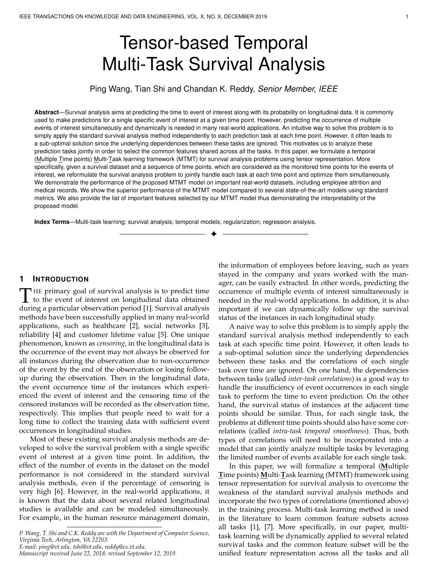

Fig. 2: Distribution of events over time on both datasets.

can be observed in Figure 2(a) through the distribution of patient readmission (shown as the logarithm of the number of patients) over time provided.

**Employee attrition dataset:** The employee attrition dataset provided by IBM Waston Analytics $^2$  is also used to evaluate the performance of the proposed algorithm. The dataset spans 40 years and consists of 1470 employees attrition information. The features provided in the dataset can be categorized into four types: demographical, education related, job related and salary related information. Based on the attrition status and the time information provided, we formulate four related problems and generate four longitudinal datasets. (i) *Years At Company (YAC)*: How many years have the employee stayed at the company before leaving? (ii) *Years With Current Manager (YWCM)*: How many years have the employee worked with the current manager before leaving? (iii) *Years in Current Role (YCR)*: How many years have the employee worked in the current role? (iv) *Years Since Last Promotion (YSLP)*: How many years have the employee stayed in the company since the last promotion? The distribution of employee attrition (shown as the logarithm of the number of employees) over time provided in Figure 2(b) indicates a correlated pattern between the four tasks, especially in the first 15 years.

There are mainly three steps in data preparation for the two survival problems. (i) We extracted features from the original dataset after generating dummy variables for the categorical features and removing the features with zerovariance. (ii) The longitudinal dataset for each survival task was obtained as the triplet  $(X; T; Y)$  by collecting the features, event status and the corresponding event time for all subjects. (iii) The entire dataset of each problem represented by a tensor is obtained by combining the data in individual tasks.

More details about the datasets are provided in Table 1. In the table, "# instances", "# features" and "# censoring" indicate the number of instances, features, and censored instances, respectively. For the Employee Attrition problem, the event of interest in the formulated survival problem is employee attrition. Therefore, the censored instances correspond to the employees who are still working in the company at the observation time, while the uncensoring indicates that the employee has left the company during the observation time period. For the MIMIC III dataset, the

2. https://www.ibm.com/communities/analytics/watsonanalytics-blog/hr-employee-attrition/

| <b>Dataset</b>        |           | # instances | # features | # censored |
|-----------------------|-----------|-------------|------------|------------|
|                       | HF        | 1811        | 118        | 1333       |
| <b>MIMIC</b><br>Ш     | <b>HY</b> | 731         | 118        | 657        |
|                       | KD        | 1209        | 118        | 1143       |
| Employee<br>Attrition | YWCM      | 1207        | 46         | 1055       |
|                       | YCR       | 1226        | 46         | 1062       |
|                       | YAC       | 1426        | 46         | 1205       |
|                       | YSLP      | 889         | 46         | 762        |

TABLE 1: Details of the dataset used in our experiments.

event of interest is the patient readmission and the censored instances are the patients who are not readmitted to the hospital during the observation period. We implemented the proposed MTMT algorithm in Python on the two datasets using 5-fold cross validation. Our codes are publicly available at https://github.com/wangpinggl/MTMT.

#### **4.2 Comparison Methods**

To evaluate the performance of the proposed algorithm, we compare it with the following commonly used survival analysis methods.

**Cox-based methods:** The Cox-based models [14] assume that all the instances share the same baseline hazard function. The Lasso-Cox and the EN-Cox method are developed for the high-dimensional survival problems. DeepSurv [22] is a Cox proportional hazards deep neural network method for modelling the dependencies between covariates and events. In our experiments, Cox model and the regularized Cox models are trained using the *survival* [35] and *fastcox* [36] package in R, respectively. DeepSurv is implemented with Keras<sup>3</sup>. The batch size and epoch are set to be 100 and 30, respectively. The RMSprop optimizer with hyper-parameter  $\bar{ }$  = 0.9,  $\bar{ }$  = 10  $\bar{ }$  and learning rate of  $10^{-5}$  is adopted to train the model parameters. The dimension of the hidden states is set to be 32.

**Parametric survival methods:** The survival time or the logarithm of the survival time is assumed to follow a theoretical distribution in parametric methods. In the experiments, the parametric survival methods learned through *survival* package with Exponential and Weibull distributions are compared with the proposed method.

**Linear methods:** We also compare the proposed method with the standard linear regression optimized using ordinary least square (OLS) method since the multi-task

3. https://github.com/KITMILTU/DeepSurv-Keras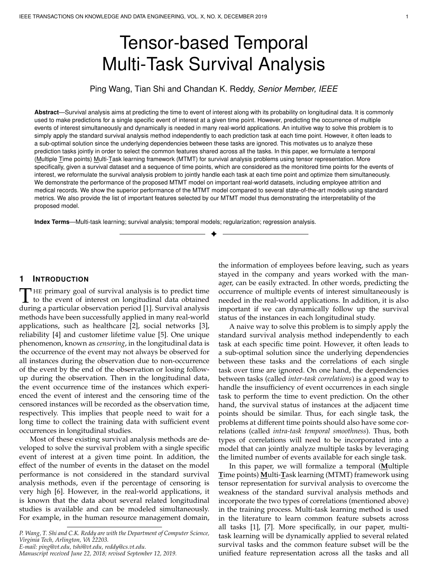TABLE 2: Performance evaluation using time-dependent AUC (along with their standard deviations) on Employee Attrition dataset.

| Methods                     |              | <b>YWCM</b>    | <b>YCR</b>     | YAC            | <b>YSLP</b>    | Average        |
|-----------------------------|--------------|----------------|----------------|----------------|----------------|----------------|
| Cox-based<br>methods        | Cox          | 0.8473(0.0022) | 0.8371(0.0020) | 0.8741(0.0013) | 0.7820(0.0031) | 0.8351(0.0015) |
|                             | Lasso-Cox    | 0.8478(0.0011) | 0.8418(0.0004) | 0.8696(0.0015) | 0.7841(0.0065) | 0.8358(0.0013) |
|                             | $EN-Cox$     | 0.8474(0.0018) | 0.8441(0.0003) | 0.8691(0.0008) | 0.7961(0.0067) | 0.8392(0.0009) |
|                             | DeepSurv     | 0.5335(0.0597) | 0.4964(0.0546) | 0.5591(0.0522) | 0.5508(0.0513) | 0.5350(0.0278) |
| Parametric<br>methods       | Exponential  | 0.8325(0.0026) | 0.8275(0.0021) | 0.8616(0.0012) | 0.7753(0.0039) | 0.8242(0.0013) |
|                             | Weibull      | 0.8543(0.0020) | 0.8411(0.0021) | 0.8698(0.0011) | 0.7799(0.0038) | 0.8363(0.0016) |
| Linear models               | <b>OLS</b>   | 0.7329(0.0007) | 0.7584(0.0016) | 0.8202(0.0010) | 0.6623(0.0006) | 0.7435(0.0043) |
|                             | Tobit        | 0.8463(0.0022) | 0.8410(0.0022) | 0.8727(0.0010) | 0.7722(0.0034) | 0.8331(0.0018) |
|                             | BJ           | 0.8494(0.0000) | 0.8312(0.0006) | 0.8636(0.0033) | 0.7760(0.0045) | 0.8301(0.0015) |
| Multi-task<br>linear models | Multi-Lasso  | 0.7061(0.0011) | 0.7557(0.0010) | 0.7900(0.0017) | 0.6894(0.0052) | 0.7353(0.0021) |
|                             | Multi- $2:1$ | 0.7941(0.0025) | 0.8128(0.0003) | 0.8326(0.0012) | 0.7751(0.0107) | 0.8037(0.0006) |
|                             | <b>MTLSA</b> | 0.8176(0.0007) | 0.8315(0.0003) | 0.8524(0.0019) | 0.7923(0.0037) | 0.8235(0.0007) |
|                             | MTLSA.V2     | 0.8327(0.0011) | 0.8432(0.0006) | 0.8649(0.0022) | 0.7972(0.0042) | 0.8345(0.0008) |
|                             | <b>MTMT</b>  | 0.8628(0.0045) | 0.8455(0.0009) | 0.8750(0.0009) | 0.8151(0.0010) | 0.8496(0.0005) |

framework in this paper is based on linear regression method. It should be noted that the standard linear regression method is trained only using the subjects who experienced events since it cannot handle the censored data in longitudinal studies. Tobit model and Buckley-James (BJ) regression method are two linear regression methods adapted to solve survival problems and trained in *survival* and *bujar* package in R, respectively.

**Multi-task learning methods:** We also compare with the standard multi-task learning method regularized with lasso and  $z_{2,1}$  implemented in the MALSAR package [37] written in MATLAB. The multi-task learning model for survival analysis (MTLSA) in [1] and its variant MTLSA.V2 which formulate a sequence of standard survival analysis problems over time for the original problem with single event of interest are implemented using the  $MTLSA$  package $^4$ .

#### **4.3 Performance Evaluation**

A common approach to evaluate survival analysis methods is to consider the relative risk between two comparable instances instead of the absolute survival times for each instance using the time-dependent AUC [38], which is also known as concordance index (C-index) for survival analysis problems. Two instances are considered as comparable if their survival times fall in one of the following: (i) both of them are uncensored; (ii) the observed event time of the uncensored instance is smaller than the censoring time of the censored instance [39]. Two comparable instances are considered to be concordant if the predicted probability of event for the instance which has event earlier is higher than that of the other instance.

Consider two instances  $i$  and  $j$ , we can use an indicator function to represent the comparability of this pair of instances as  $C_{ij} = I(Y_i = 1 \text{ and } T_i < T_j)$ , which indicates that

 $C_{ij} = 1$ , if the two instances are comparable and  $C_{ij} = 0$ , otherwise. Thus, the total number of comparable pairs can be obtained as

$$
N_C = \frac{N + N}{N} C_{ij}
$$
 (27)

where  $N$  represents the number of instances in the testing dataset. We can also represent the concordance of the two instances  $i$  and  $j$  similarly using the indicator function as  $c_{ij}$  =  $I(s_i < s_j$  and  $C_{ij}$  = 1), where  $s_i$  and  $s_j$  represent the estimated survival probabilities for instances  $i$  and  $j$ , respectively. This indicates that  $c_{ij} = 1$ , if instances *i* and *j* are concordant and  $c_{ij} = 0$ , otherwise. Thus, the total number of concordant pairs can be calculated as

$$
N_c = \frac{N \sqrt{1 N}}{1 \sqrt{C}} C_{ij}
$$
 (28)

Therefore, the time-dependent AUC can be calculated as:

$$
AUC_t = N_c = N_C \tag{29}
$$

Table 2 and Table 3 show the performance results of different algorithms using time-dependent AUC on the Employee Attrition and MIMIC III datasets, respectively. The results in bold represent the best performance. It can be observed that the proposed MTMT algorithm outperforms other state-of-the-art methods for all tasks on Employee Attrition dataset and two tasks on MIMIC III dataset. For other tasks, MTMT also achieves similar time-dependent AUC value compared to the best performance. The last column in Table 2 and Table 3 is the averaged time-dependent AUC across all the tasks for each algorithm. The results show that the MTMT algorithm outperforms other baseline methods on average for each task on the two problems. These promising results indicate that the proposed multitask framework can increase the prediction performance of each task on average.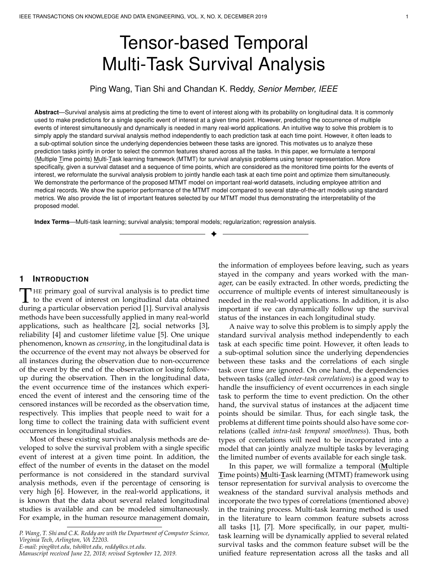IEEE TRANSACTIONS ON KNOWLEDGE AND DATA ENGINEERING, VOL. X, NO. X, DECEMBER 2019 10

TABLE 3: Performance evaluation using time-dependent AUC (along with their standard deviations) on MIMIC III dataset.

| Methods               |                   | <b>HF</b>      | HY             | KD             | Average        |
|-----------------------|-------------------|----------------|----------------|----------------|----------------|
| Cox-based<br>methods  | Cox               | 0.5499(0.0010) | 0.6809(0.0127) | 0.5112(0.0052) | 0.5807(0.0079) |
|                       | Lasso-Cox         | 0.5534(0.0004) | 0.6764(0.0110) | 0.5395(0.0081) | 0.5898(0.0057) |
|                       | $EN-Cox$          | 0.5552(0.0007) | 0.6783(0.0127) | 0.4897(0.0048) | 0.5744(0.0092) |
|                       | DeepSurv          | 0.5102(0.0240) | 0.5209(0.0311) | 0.6018(0.1317) | 0.5464(0.0537) |
| Parametric<br>methods | Exponential       | 0.5567(0.0011) | 0.6166(0.0191) | 0.5688(0.0079) | 0.5807(0.0010) |
|                       | Weibull           | 0.5479(0.0008) | 0.5703(0.0177) | 0.5419(0.0351) | 0.5534(0.0002) |
| Linear models         | <b>OLS</b>        | 0.5354(0.0007) | 0.4671(0.0286) | 0.3181(0.0366) | 0.4402(0.0123) |
|                       | Tobit             | 0.5578(0.0011) | 0.5946(0.0029) | 0.5531(0.0198) | 0.5685(0.0005) |
|                       | BI                | 0.5571(0.0006) | 0.6862(0.0115) | 0.2452(0.0237) | 0.4962(0.0514) |
| Multi-task<br>models  | Multi-Lasso       | 0.5220(0.0015) | 0.6803(0.0126) | 0.5268(0.0186) | 0.5764(0.0081) |
|                       | Multi- $\gamma_1$ | 0.5412(0.0012) | 0.6859(0.0098) | 0.5342(0.0146) | 0.5871(0.0073) |
|                       | <b>MTLSA</b>      | 0.5348(0.0010) | 0.6528(0.0096) | 0.5587(0.0097) | 0.5821(0.0039) |
|                       | MTLSA.V2          | 0.5404(0.0010) | 0.6630(0.0116) | 0.5633(0.1228) | 0.5889(0.0042) |
|                       | <b>MTMT</b>       | 0.5657(0.0166) | 0.6868(0.0007) | 0.5674(0.0178) | 0.6066(0.0048) |

| TABLE 4: The top-10 common features selected across four |  |
|----------------------------------------------------------|--|
| tasks on the Employee Attrition dataset.                 |  |

| <b>Feature Name</b>             | Score  |
|---------------------------------|--------|
| <b>Total Working Years</b>      | 2.2011 |
| Job Level                       | 0.8613 |
| Performance Rating              | 0.7617 |
| Job Involvement                 | 0.4067 |
| Number of Companies Worked      | 0.4012 |
| Over Time                       | 0.3537 |
| Work Life Balance               | 0.3077 |
| Job Role: Sales Executive       | 0.2938 |
| <b>Environment Satisfaction</b> | 0.2591 |
| Job Role: Sales Representative  | 0.2508 |

# **4.4 Feature Selection**

One of the main goals of multi-task learning methods is to learn the shared features across all the tasks. In this section, we evaluate the effect of the  $\epsilon_{F,1}$  norm on the tensor, which is mainly used to perform the common feature selection across all tasks over time. The bar plots in Figure 3(a) and Figure 3(b) show the effect of the  $\epsilon_{F,1}$  norm on the prediction performance using time-dependent AUC. We can observe that the MTMT model regularized by  $F_{f,1}$  norm (in green) outperforms the model without  $F_{f,1}$  norm (in yellow) on all the tasks. This indicates that the new proposed  $F_{f,1}$  norm can perform effectively for feature selection.

Table 4 and Table 5 provide the top-10 common features selected across different tasks on the Employee Attrition dataset and MIMIC III dataset, respectively, based on the averaged  $F_{f,1}$  norm over 5-fold of the tensor slices  $\mathbf{B}_{f,1}$  (as given in Section 3) for each feature. The higher score indicates the greater impact on the final prediction. According to the results provided in Table 4, we can observe that the feature *Total Working Years* has the highest impact on the TABLE 5: The top-10 common features selected across three tasks on MIMIC III dataset.

| <b>Feature Name</b>                  | Score   |
|--------------------------------------|---------|
| <b>Support Systems</b>               | 11.1720 |
| Non Invasive Blood Pressure Systolic | 11.0395 |
| Braden Mobility                      | 11.0392 |
| Urine Appearance                     | 10.9794 |
| Position                             | 10.9227 |
| Creatinine                           | 10.8996 |
| Dorsal PedPulse R                    | 10.8814 |
| Marital status                       | 10.8604 |
| Pain Present                         | 10.8504 |
| Blood Urea Nitrogen                  | 10.8452 |

employee attrition. In addition, all these selected features are job related features, which means that these features mainly dominate the employee attrition. It is worth noting that two dummy features about "Job Role" among the selected features belong to the sales department. It indicates that the turnover rate in the sales department is relatively high compared to other departments. The selected common features among all the problems can provide an important guideline to reduce the attrition in a company. Based on the results in Table 5 on MIMIC III dataset, we can observe that the feature *Support Systems* affects the patient readmission most. It can also be observed that the variance of the scores for the top-10 features on MIMIC III dataset is relatively small, which indicates that these features affect the three tasks at the same level.

#### **4.5 Parameter Sensitivity and Convergence Analysis**

There are mainly four parameters in the proposed MTMT method, including (i) , which is used in the ADMM algorithm, (ii) the weight for the  $\epsilon$  norm , (iii) the weight